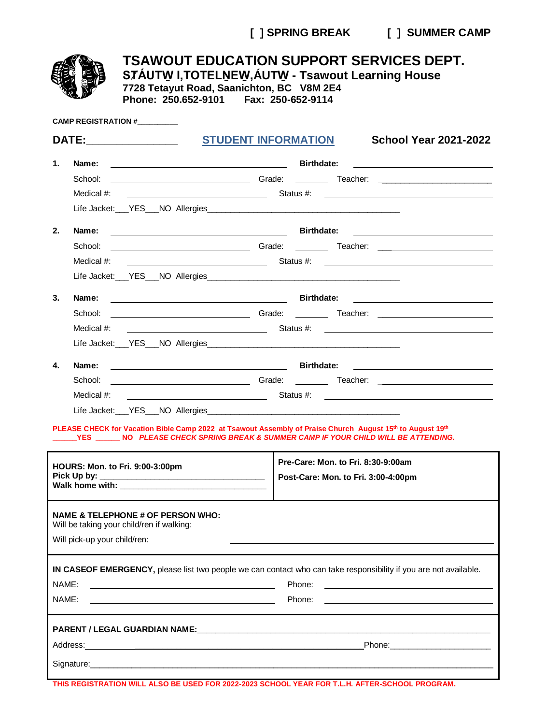**[ ] SPRING BREAK [ ] SUMMER CAMP**

|                                                                                                                                                                                                     |                              |                                                                                           | STÁUTW I, TOTELNEW, ÁUTW - Tsawout Learning House<br>7728 Tetayut Road, Saanichton, BC V8M 2E4<br>Phone: 250.652-9101    Fax: 250-652-9114                                                                                     |                                     |                   | <b>TSAWOUT EDUCATION SUPPORT SERVICES DEPT.</b>                                                                                                                                                                                |  |  |
|-----------------------------------------------------------------------------------------------------------------------------------------------------------------------------------------------------|------------------------------|-------------------------------------------------------------------------------------------|--------------------------------------------------------------------------------------------------------------------------------------------------------------------------------------------------------------------------------|-------------------------------------|-------------------|--------------------------------------------------------------------------------------------------------------------------------------------------------------------------------------------------------------------------------|--|--|
|                                                                                                                                                                                                     |                              | <b>CAMP REGISTRATION #</b>                                                                |                                                                                                                                                                                                                                |                                     |                   |                                                                                                                                                                                                                                |  |  |
| DATE:________________                                                                                                                                                                               |                              |                                                                                           | <b>STUDENT INFORMATION</b>                                                                                                                                                                                                     |                                     |                   | <b>School Year 2021-2022</b>                                                                                                                                                                                                   |  |  |
| 1.                                                                                                                                                                                                  |                              |                                                                                           |                                                                                                                                                                                                                                |                                     | <b>Birthdate:</b> |                                                                                                                                                                                                                                |  |  |
|                                                                                                                                                                                                     | School:                      |                                                                                           |                                                                                                                                                                                                                                |                                     |                   |                                                                                                                                                                                                                                |  |  |
|                                                                                                                                                                                                     | Medical #:                   |                                                                                           |                                                                                                                                                                                                                                |                                     |                   |                                                                                                                                                                                                                                |  |  |
|                                                                                                                                                                                                     |                              |                                                                                           |                                                                                                                                                                                                                                |                                     |                   |                                                                                                                                                                                                                                |  |  |
| 2.                                                                                                                                                                                                  | Name:                        |                                                                                           | Birthdate:                                                                                                                                                                                                                     |                                     |                   |                                                                                                                                                                                                                                |  |  |
|                                                                                                                                                                                                     | School:                      |                                                                                           |                                                                                                                                                                                                                                |                                     |                   |                                                                                                                                                                                                                                |  |  |
|                                                                                                                                                                                                     | Medical #:                   |                                                                                           |                                                                                                                                                                                                                                |                                     |                   |                                                                                                                                                                                                                                |  |  |
|                                                                                                                                                                                                     |                              |                                                                                           |                                                                                                                                                                                                                                |                                     |                   |                                                                                                                                                                                                                                |  |  |
| 3.                                                                                                                                                                                                  | Name:                        |                                                                                           | Birthdate:                                                                                                                                                                                                                     |                                     |                   | <u> 1989 - Johann Barn, mars eta bainar eta bainar eta baina eta baina eta baina eta baina eta baina eta baina e</u>                                                                                                           |  |  |
|                                                                                                                                                                                                     | School:                      |                                                                                           |                                                                                                                                                                                                                                |                                     |                   |                                                                                                                                                                                                                                |  |  |
|                                                                                                                                                                                                     | Medical #:                   |                                                                                           |                                                                                                                                                                                                                                |                                     |                   |                                                                                                                                                                                                                                |  |  |
|                                                                                                                                                                                                     |                              |                                                                                           |                                                                                                                                                                                                                                |                                     |                   |                                                                                                                                                                                                                                |  |  |
| 4.                                                                                                                                                                                                  | Name:                        |                                                                                           |                                                                                                                                                                                                                                |                                     |                   | <u> Alexandria de la contrada de la contrada de la contrada de la contrada de la contrada de la contrada de la c</u>                                                                                                           |  |  |
|                                                                                                                                                                                                     |                              |                                                                                           |                                                                                                                                                                                                                                |                                     |                   |                                                                                                                                                                                                                                |  |  |
|                                                                                                                                                                                                     |                              |                                                                                           |                                                                                                                                                                                                                                |                                     |                   |                                                                                                                                                                                                                                |  |  |
|                                                                                                                                                                                                     |                              |                                                                                           |                                                                                                                                                                                                                                |                                     |                   |                                                                                                                                                                                                                                |  |  |
| PLEASE CHECK for Vacation Bible Camp 2022 at Tsawout Assembly of Praise Church August 15th to August 19th<br>YES _______NO PLEASE CHECK SPRING BREAK & SUMMER CAMP IF YOUR CHILD WILL BE ATTENDING. |                              |                                                                                           |                                                                                                                                                                                                                                |                                     |                   |                                                                                                                                                                                                                                |  |  |
| HOURS: Mon. to Fri. 9:00-3:00pm                                                                                                                                                                     |                              |                                                                                           |                                                                                                                                                                                                                                | Pre-Care: Mon. to Fri. 8:30-9:00am  |                   |                                                                                                                                                                                                                                |  |  |
|                                                                                                                                                                                                     | Pick Up by:                  |                                                                                           |                                                                                                                                                                                                                                | Post-Care: Mon. to Fri. 3:00-4:00pm |                   |                                                                                                                                                                                                                                |  |  |
|                                                                                                                                                                                                     | Will pick-up your child/ren: | <b>NAME &amp; TELEPHONE # OF PERSON WHO:</b><br>Will be taking your child/ren if walking: |                                                                                                                                                                                                                                |                                     |                   |                                                                                                                                                                                                                                |  |  |
|                                                                                                                                                                                                     |                              |                                                                                           |                                                                                                                                                                                                                                |                                     |                   | IN CASEOF EMERGENCY, please list two people we can contact who can take responsibility if you are not available.                                                                                                               |  |  |
| NAME:                                                                                                                                                                                               |                              |                                                                                           |                                                                                                                                                                                                                                | Phone:                              |                   | <u> 1989 - Johann Harry Harry Harry Harry Harry Harry Harry Harry Harry Harry Harry Harry Harry Harry Harry Harry</u>                                                                                                          |  |  |
| NAME:                                                                                                                                                                                               |                              |                                                                                           |                                                                                                                                                                                                                                | Phone:                              |                   | <u> 1980 - John Stein, mars and de Britain and de Britain and de Britain and de Britain and de Britain and de Br</u>                                                                                                           |  |  |
|                                                                                                                                                                                                     |                              |                                                                                           |                                                                                                                                                                                                                                |                                     |                   |                                                                                                                                                                                                                                |  |  |
|                                                                                                                                                                                                     |                              |                                                                                           |                                                                                                                                                                                                                                |                                     |                   |                                                                                                                                                                                                                                |  |  |
|                                                                                                                                                                                                     |                              |                                                                                           |                                                                                                                                                                                                                                |                                     |                   | Phone: the contract of the contract of the contract of the contract of the contract of the contract of the contract of the contract of the contract of the contract of the contract of the contract of the contract of the con |  |  |
|                                                                                                                                                                                                     |                              |                                                                                           | Signature: Management of the Contract of the Contract of the Contract of the Contract of the Contract of the Contract of the Contract of the Contract of the Contract of the Contract of the Contract of the Contract of the C |                                     |                   |                                                                                                                                                                                                                                |  |  |

**THIS REGISTRATION WILL ALSO BE USED FOR 2022-2023 SCHOOL YEAR FOR T.L.H. AFTER-SCHOOL PROGRAM.**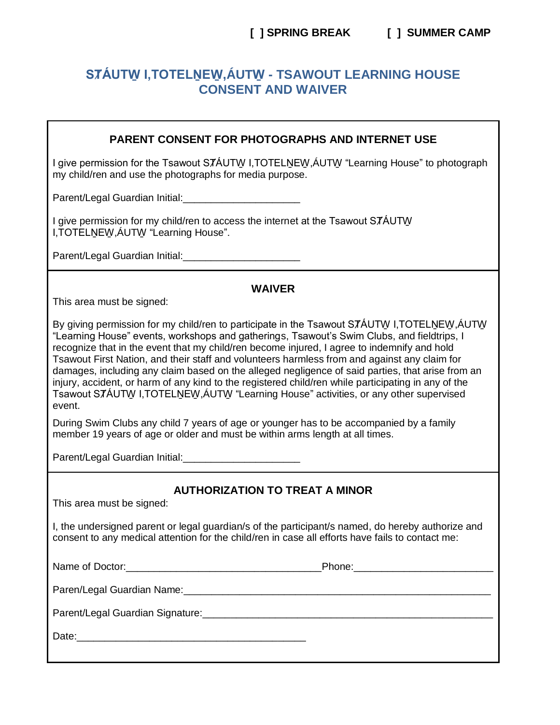# STÁUTW I, TOTELNEW, ÁUTW - TSAWOUT LEARNING HOUSE **CONSENT AND WAIVER**

## **PARENT CONSENT FOR PHOTOGRAPHS AND INTERNET USE**

I give permission for the Tsawout STAUTW I, TOTELNEW, AUTW "Learning House" to photograph my child/ren and use the photographs for media purpose.

Parent/Legal Guardian Initial: Parent/Legal Guardian Initial:

I give permission for my child/ren to access the internet at the Tsawout STÁUTW I, TOTELNEW, ÁUTW "Learning House".

Parent/Legal Guardian Initial: Parent/Legal Guardian Initial:

### **WAIVER**

This area must be signed:

By giving permission for my child/ren to participate in the Tsawout STAUTW I, TOTELNEW, AUTW "Learning House" events, workshops and gatherings, Tsawout's Swim Clubs, and fieldtrips, I recognize that in the event that my child/ren become injured, I agree to indemnify and hold Tsawout First Nation, and their staff and volunteers harmless from and against any claim for damages, including any claim based on the alleged negligence of said parties, that arise from an iniury. accident, or harm of any kind to the registered child/ren while participating in any of the Tsawout STÁUTW I.TOTELNEW.ÁUTW "Learning House" activities, or any other supervised event.

During Swim Clubs any child 7 years of age or younger has to be accompanied by a family member 19 years of age or older and must be within arms length at all times.

Parent/Legal Guardian Initial:

# **AUTHORIZATION TO TREAT A MINOR**

This area must be signed:

I, the undersigned parent or legal guardian/s of the participant/s named, do hereby authorize and consent to any medical attention for the child/ren in case all efforts have fails to contact me:

Name of Doctor: <u>International Phone:</u> Phone: Phone:

Paren/Legal Guardian Name: 2008. Entry and the contract of the contract of the contract of the contract of the

Parent/Legal Guardian Signature: New York Channel Control of the Channel Channel Channel Channel Channel Channel Channel Channel Channel Channel Channel Channel Channel Channel Channel Channel Channel Channel Channel Chann

Date: 2008.000 2009.000 2009.000 2009.000 2009.000 2009.000 2009.000 2009.000 2009.000 2009.000 2009.000 2009